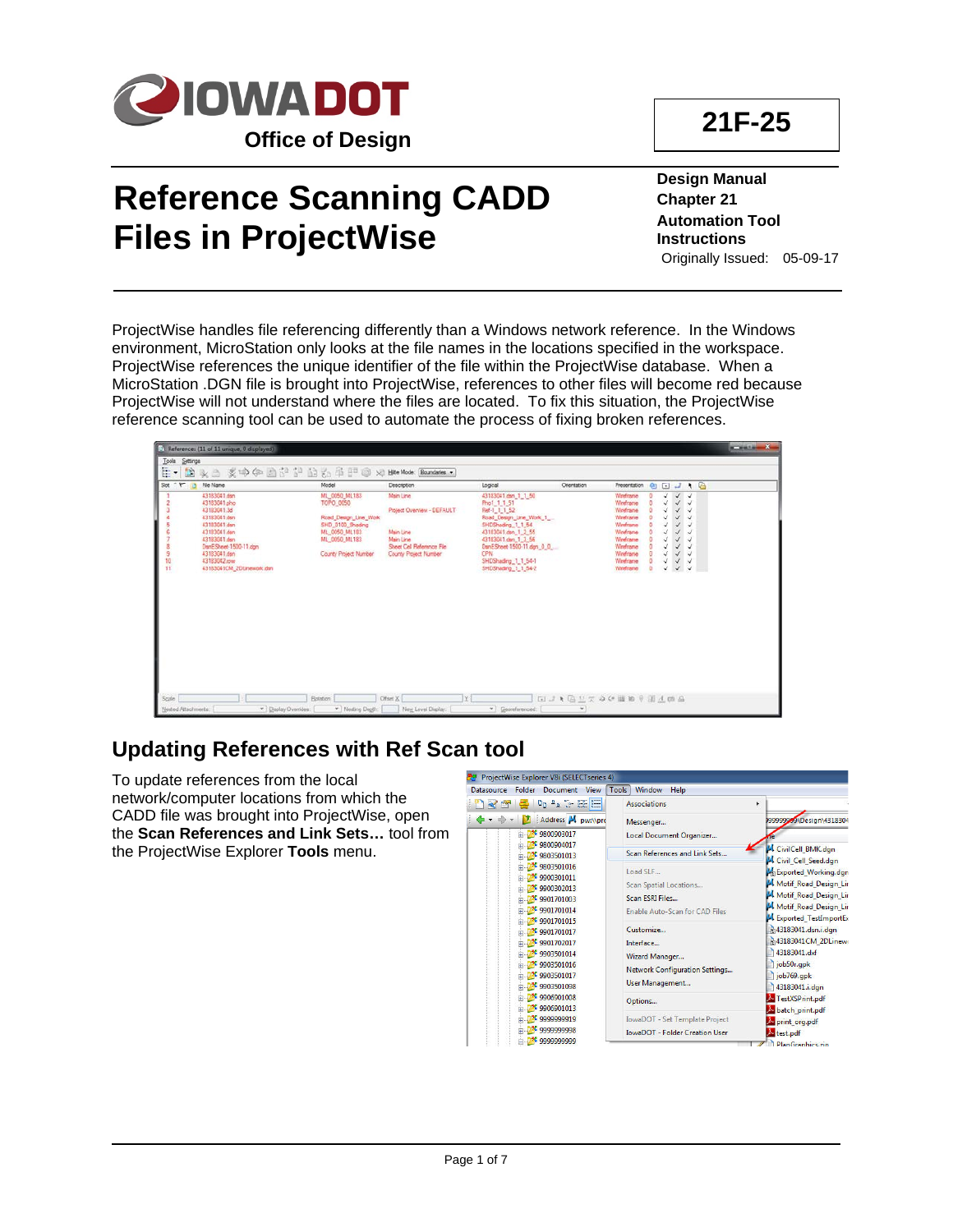

## **Reference Scanning CADD Files in ProjectWise**

**Design Manual Chapter 21 Automation Tool Instructions** Originally Issued: 05-09-17

ProjectWise handles file referencing differently than a Windows network reference. In the Windows environment, MicroStation only looks at the file names in the locations specified in the workspace. ProjectWise references the unique identifier of the file within the ProjectWise database. When a MicroStation .DGN file is brought into ProjectWise, references to other files will become red because ProjectWise will not understand where the files are located. To fix this situation, the ProjectWise reference scanning tool can be used to automate the process of fixing broken references.

|                      | [5] References (11 of 11 unique, 0 displayed)                                                                                                                                                     |                                                                                                                                    |                                                                                                                         |                                                                                                                                                                                                                                     |                           |                                                                                                                                   |   |                                 |                                                                                                                                                                              |  |
|----------------------|---------------------------------------------------------------------------------------------------------------------------------------------------------------------------------------------------|------------------------------------------------------------------------------------------------------------------------------------|-------------------------------------------------------------------------------------------------------------------------|-------------------------------------------------------------------------------------------------------------------------------------------------------------------------------------------------------------------------------------|---------------------------|-----------------------------------------------------------------------------------------------------------------------------------|---|---------------------------------|------------------------------------------------------------------------------------------------------------------------------------------------------------------------------|--|
| Tools<br>Settings    |                                                                                                                                                                                                   |                                                                                                                                    |                                                                                                                         |                                                                                                                                                                                                                                     |                           |                                                                                                                                   |   |                                 |                                                                                                                                                                              |  |
| Ē۰<br>餘              | 头白 义中中国产于 由右手甲口                                                                                                                                                                                   |                                                                                                                                    | > Hite Mode: Boundaries                                                                                                 |                                                                                                                                                                                                                                     |                           |                                                                                                                                   |   |                                 |                                                                                                                                                                              |  |
| $Set$ $P$<br>m       | File Name                                                                                                                                                                                         | Model                                                                                                                              | <b>Description</b>                                                                                                      | Logical                                                                                                                                                                                                                             | Orientation               | Presentation                                                                                                                      |   | <b>ADJIA</b>                    |                                                                                                                                                                              |  |
| 9<br>$\frac{10}{11}$ | 43183041 dan<br>43183041.php<br>43183041.3d<br>43183041 den<br>43183041 dsn<br>43183041.dan<br>43183041.dan<br>DanESheet-1500-11.dgn<br>43183041.dsn<br>43183042.row<br>43183041CM_2DLinework.dsn | ML_0050_ML183<br>TOPO 0050<br>Road Design Line Work<br>SHD 0100 Shading<br>ML 0050 ML183<br>ML 0050 ML183<br>County Project Number | Main Line<br>Project Overview - DEFAULT<br>Main Line<br>Main Line<br>Sheet Call Reference File<br>County Project Number | 43183041 dsn_1_1_50<br>Pho1 1 1 51<br>Ref-1 1 1 52<br>Road Design_Line_Work_1<br>SHDShading 1 1 54<br>43183041.den 1 2 55<br>43183041.dan 1 3 56<br>DanESheet-1500-11.dgn 0.0<br>CPN.<br>SHDShading_1_1_54-1<br>SHDShading 1 1 54-2 |                           | Weeframe<br>Wireframe<br>Wreframe<br>Weeframe<br>Weefname<br>Weeframe<br>Wreframe<br>Weeframe<br>Wreframe<br>Weeframe<br>Wreframe | o | Ü<br>J<br>Ü<br>u<br>√<br>٧<br>¥ | $\checkmark$<br>$\checkmark$<br>$\checkmark$<br>√<br>٧<br>¥<br>√<br>$\checkmark$<br>$\checkmark$<br>$\checkmark$<br>$\checkmark$ $\checkmark$<br>$\checkmark$ . $\checkmark$ |  |
| Scale                |                                                                                                                                                                                                   | Botation                                                                                                                           | Offset &<br> Y                                                                                                          |                                                                                                                                                                                                                                     | <b>ELI 1 通量元中化量的平面点的品</b> |                                                                                                                                   |   |                                 |                                                                                                                                                                              |  |
| Nested Attachments.  | v   Daplay Overrides:                                                                                                                                                                             | v Nesting Degth:                                                                                                                   | New Level Display.                                                                                                      | v Georeferenced:                                                                                                                                                                                                                    | $\mathbf{v}$              |                                                                                                                                   |   |                                 |                                                                                                                                                                              |  |

## **Updating References with Ref Scan tool**

To update references from the local network/computer locations from which the CADD file was brought into ProjectWise, open the **Scan References and Link Sets…** tool from the ProjectWise Explorer **Tools** menu.

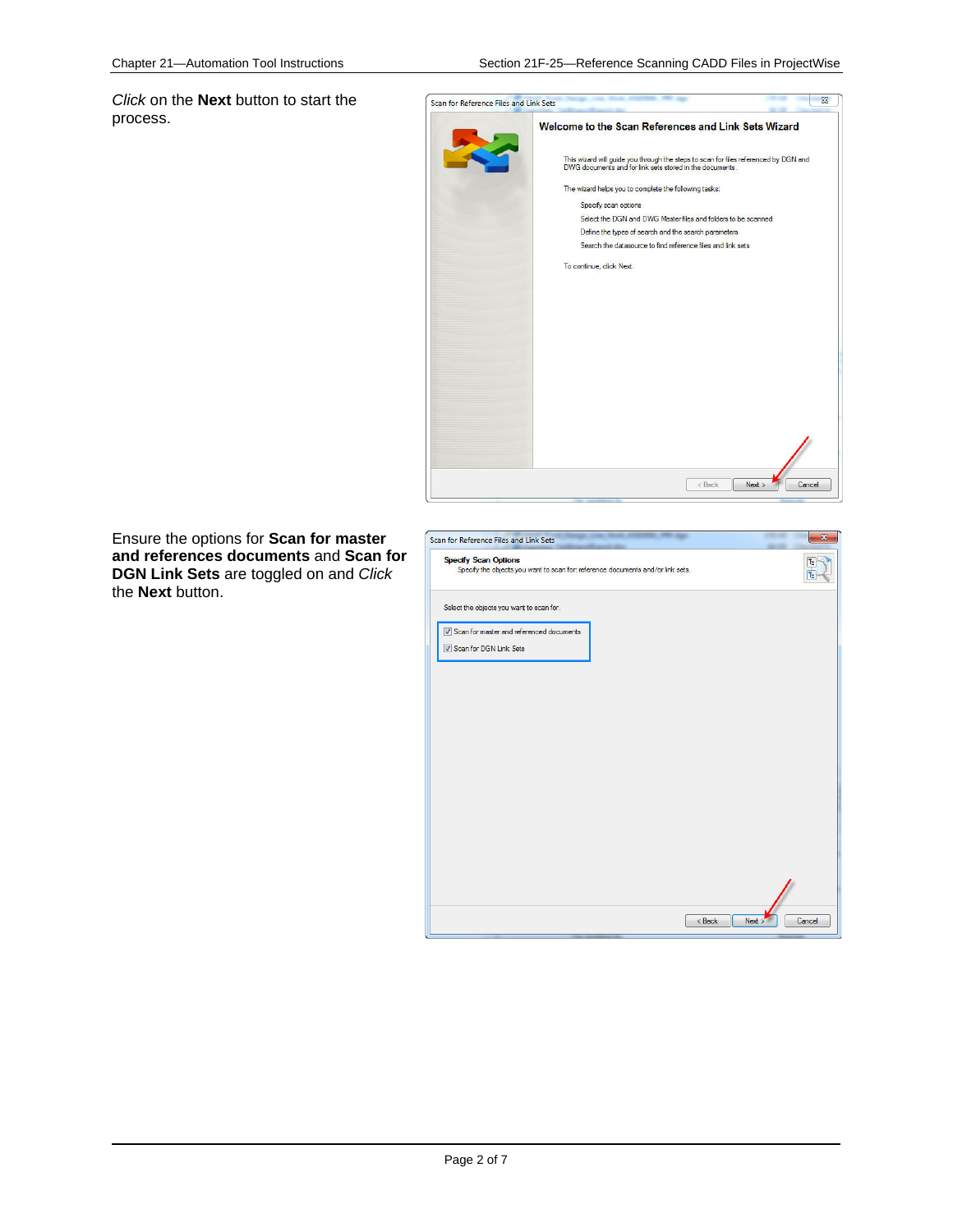*Click* on the **Next** button to start the process.



Ensure the options for **Scan for master and references documents** and **Scan for DGN Link Sets** are toggled on and *Click* the **Next** button.

| <b>Specify Scan Options</b><br>Specify the objects you want to scan for: reference documents and/or link sets. |  |
|----------------------------------------------------------------------------------------------------------------|--|
| Select the objects you want to scan for.                                                                       |  |
| Scan for master and referenced documents                                                                       |  |
| Scan for DGN Link Sets                                                                                         |  |
|                                                                                                                |  |
|                                                                                                                |  |
|                                                                                                                |  |
|                                                                                                                |  |
|                                                                                                                |  |
|                                                                                                                |  |
|                                                                                                                |  |
|                                                                                                                |  |
|                                                                                                                |  |
|                                                                                                                |  |
|                                                                                                                |  |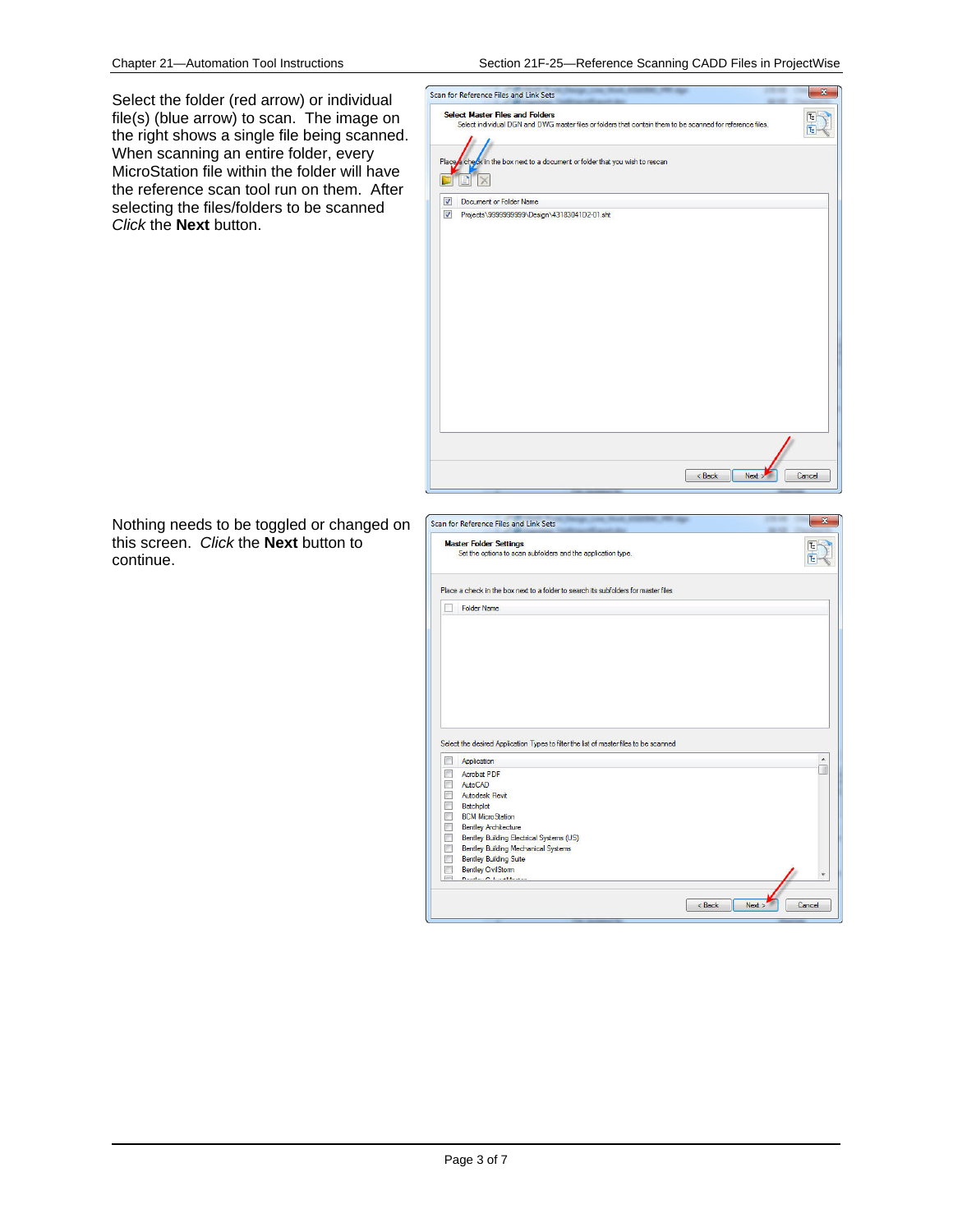Select the folder (red arrow) or individual file(s) (blue arrow) to scan. The image on the right shows a single file being scanned. When scanning an entire folder, every MicroStation file within the folder will have the reference scan tool run on them. After selecting the files/folders to be scanned *Click* the **Next** button.



Nothing needs to be toggled or changed on this screen. *Click* the **Next** button to continue.

|        | <b>Master Folder Settings</b><br>Set the options to scan subfolders and the application type. |  |
|--------|-----------------------------------------------------------------------------------------------|--|
|        | Place a check in the box next to a folder to search its subfolders for master files           |  |
|        | <b>Folder Name</b>                                                                            |  |
|        |                                                                                               |  |
|        |                                                                                               |  |
|        |                                                                                               |  |
|        |                                                                                               |  |
|        |                                                                                               |  |
|        |                                                                                               |  |
|        |                                                                                               |  |
|        |                                                                                               |  |
|        | Select the desired Application Types to filter the list of master files to be scanned         |  |
|        | <b>Application</b>                                                                            |  |
|        | <b>Acrobat PDF</b>                                                                            |  |
|        | AutoCAD                                                                                       |  |
|        | Autodesk Revit                                                                                |  |
|        | Batchplot                                                                                     |  |
| F      |                                                                                               |  |
| П      | <b>BCM MicroStation</b>                                                                       |  |
|        | <b>Bentley Architecture</b>                                                                   |  |
| n<br>F | Bentley Building Electrical Systems (US)                                                      |  |
|        | <b>Bentley Building Mechanical Systems</b>                                                    |  |
|        | <b>Bentley Building Suite</b>                                                                 |  |
| Ħ      | <b>Bentley CivilStorm</b><br>Deadlers Onlyworkhausen                                          |  |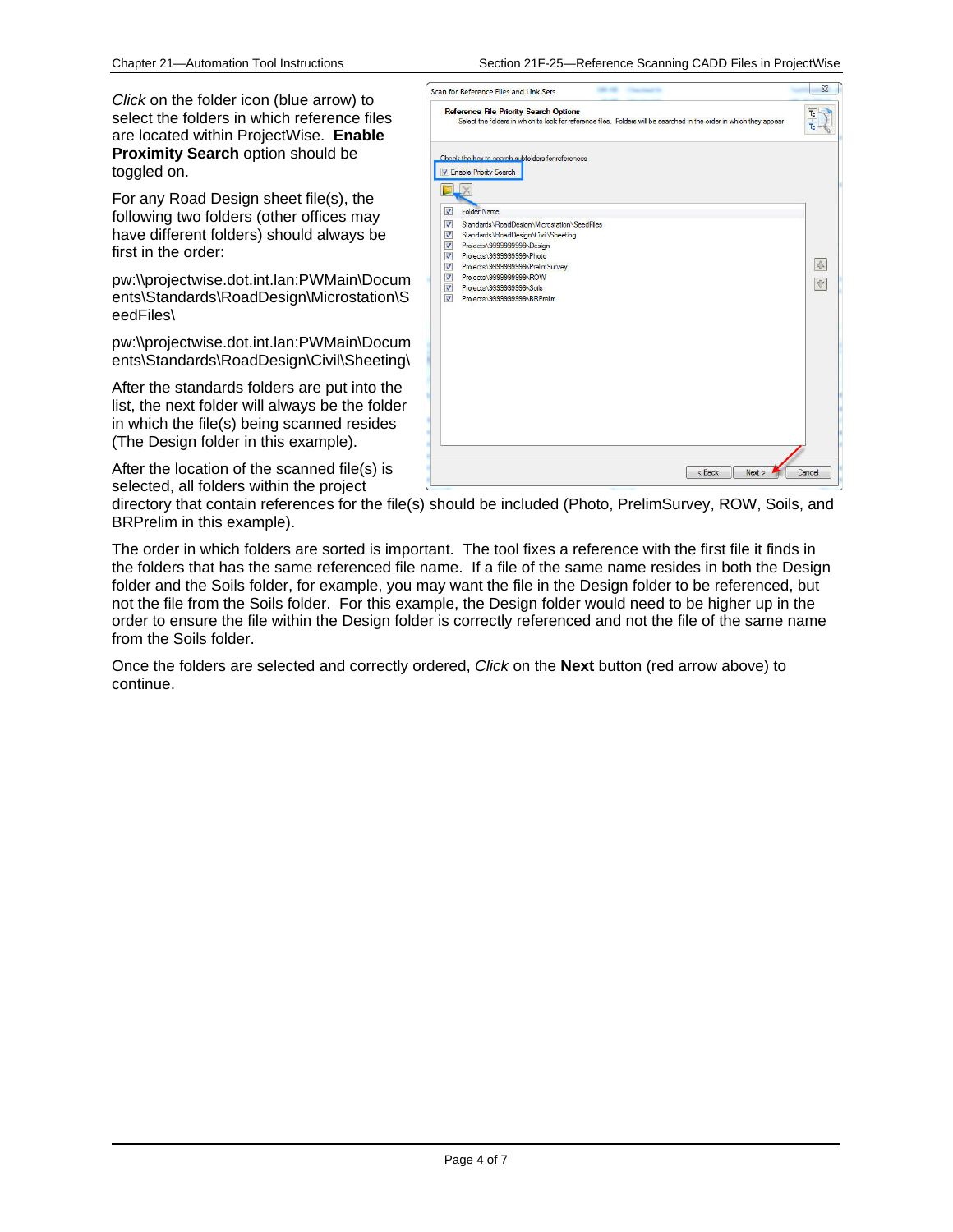Chapter 21—Automation Tool Instructions Section 21F-25—Reference Scanning CADD Files in ProjectWise

*Click* on the folder icon (blue arrow) to select the folders in which reference files are located within ProjectWise. **Enable Proximity Search** option should be toggled on.

For any Road Design sheet file(s), the following two folders (other offices may have different folders) should always be first in the order:

pw:\\projectwise.dot.int.lan:PWMain\Docum ents\Standards\RoadDesign\Microstation\S eedFiles\

pw:\\projectwise.dot.int.lan:PWMain\Docum ents\Standards\RoadDesign\Civil\Sheeting\

After the standards folders are put into the list, the next folder will always be the folder in which the file(s) being scanned resides (The Design folder in this example).

After the location of the scanned file(s) is selected, all folders within the project

|                                                                                                                                                                     | <b>Reference File Priority Search Options</b><br>Select the folders in which to look for reference files. Folders will be searched in the order in which they appear.                     |                  |  |  |  |  |  |
|---------------------------------------------------------------------------------------------------------------------------------------------------------------------|-------------------------------------------------------------------------------------------------------------------------------------------------------------------------------------------|------------------|--|--|--|--|--|
| $\blacktriangledown$<br>$\overline{\mathcal{L}}$                                                                                                                    | Check the box to search subfolders for references<br>V Enable Priority Search<br><b>Folder Name</b><br>Standards\RoadDesign\Microstation\SeedFiles                                        |                  |  |  |  |  |  |
| $\overline{\mathcal{L}}$<br>$\overline{\mathcal{L}}$<br>$\overline{\mathbf{v}}$<br>$\overline{\mathcal{J}}$<br>$\overline{\mathcal{L}}$<br>$\overline{\mathcal{L}}$ | Standards\RoadDesign\Civil\Sheeting<br>Projects\9999999999\Design<br>Projects\9999999999\Photo<br>Projects\9999999999\PrelimSurvey<br>Projects\9999999999\ROW<br>Projects\999999999\Soils | $\triangle$<br>v |  |  |  |  |  |
| $\overline{J}$                                                                                                                                                      | Projects\9999999999\BRPrelim                                                                                                                                                              |                  |  |  |  |  |  |
|                                                                                                                                                                     |                                                                                                                                                                                           |                  |  |  |  |  |  |
|                                                                                                                                                                     |                                                                                                                                                                                           |                  |  |  |  |  |  |
|                                                                                                                                                                     | < Back<br>Next                                                                                                                                                                            | Cancel           |  |  |  |  |  |

directory that contain references for the file(s) should be included (Photo, PrelimSurvey, ROW, Soils, and BRPrelim in this example).

The order in which folders are sorted is important. The tool fixes a reference with the first file it finds in the folders that has the same referenced file name. If a file of the same name resides in both the Design folder and the Soils folder, for example, you may want the file in the Design folder to be referenced, but not the file from the Soils folder. For this example, the Design folder would need to be higher up in the order to ensure the file within the Design folder is correctly referenced and not the file of the same name from the Soils folder.

Once the folders are selected and correctly ordered, *Click* on the **Next** button (red arrow above) to continue.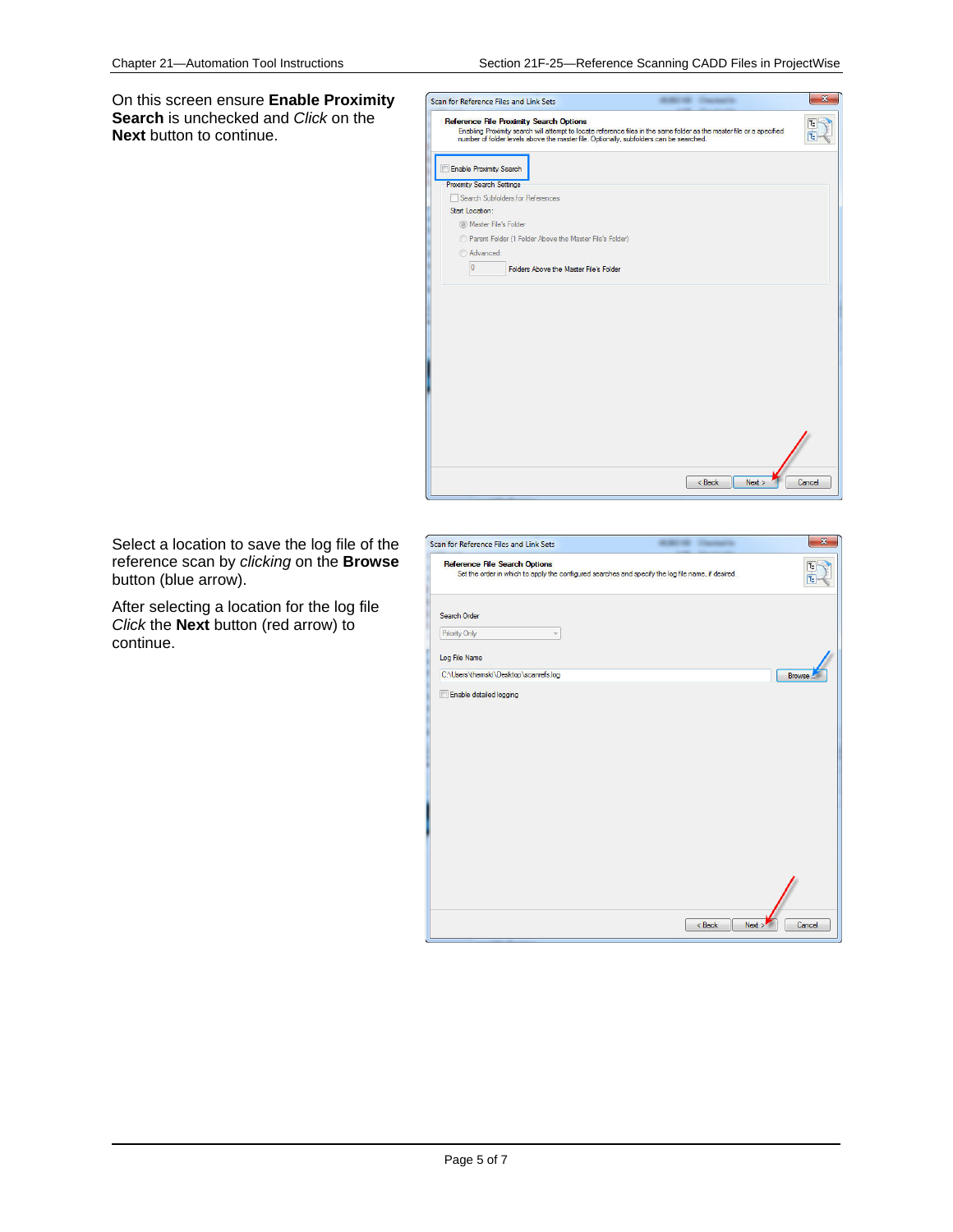On this screen ensure **Enable Proximity Search** is unchecked and *Click* on the **Next** button to continue.



Select a location to save the log file of the reference scan by *clicking* on the **Browse** button (blue arrow).

After selecting a location for the log file *Click* the **Next** button (red arrow) to continue.

| Scan for Reference Files and Link Sets                                                                                                     | $\mathbf{x}$<br><b>Charles Card</b> |
|--------------------------------------------------------------------------------------------------------------------------------------------|-------------------------------------|
| <b>Reference File Search Options</b><br>Set the order in which to apply the configured searches and specify the log file name, if desired. |                                     |
| Search Order                                                                                                                               |                                     |
| Priority Only                                                                                                                              |                                     |
| Log File Name                                                                                                                              |                                     |
| C:\Users\thamski\Desktop\scanrefs.log                                                                                                      | <b>Browse</b>                       |
|                                                                                                                                            |                                     |
|                                                                                                                                            | $<$ Back<br>Cancel<br>Next >        |
|                                                                                                                                            |                                     |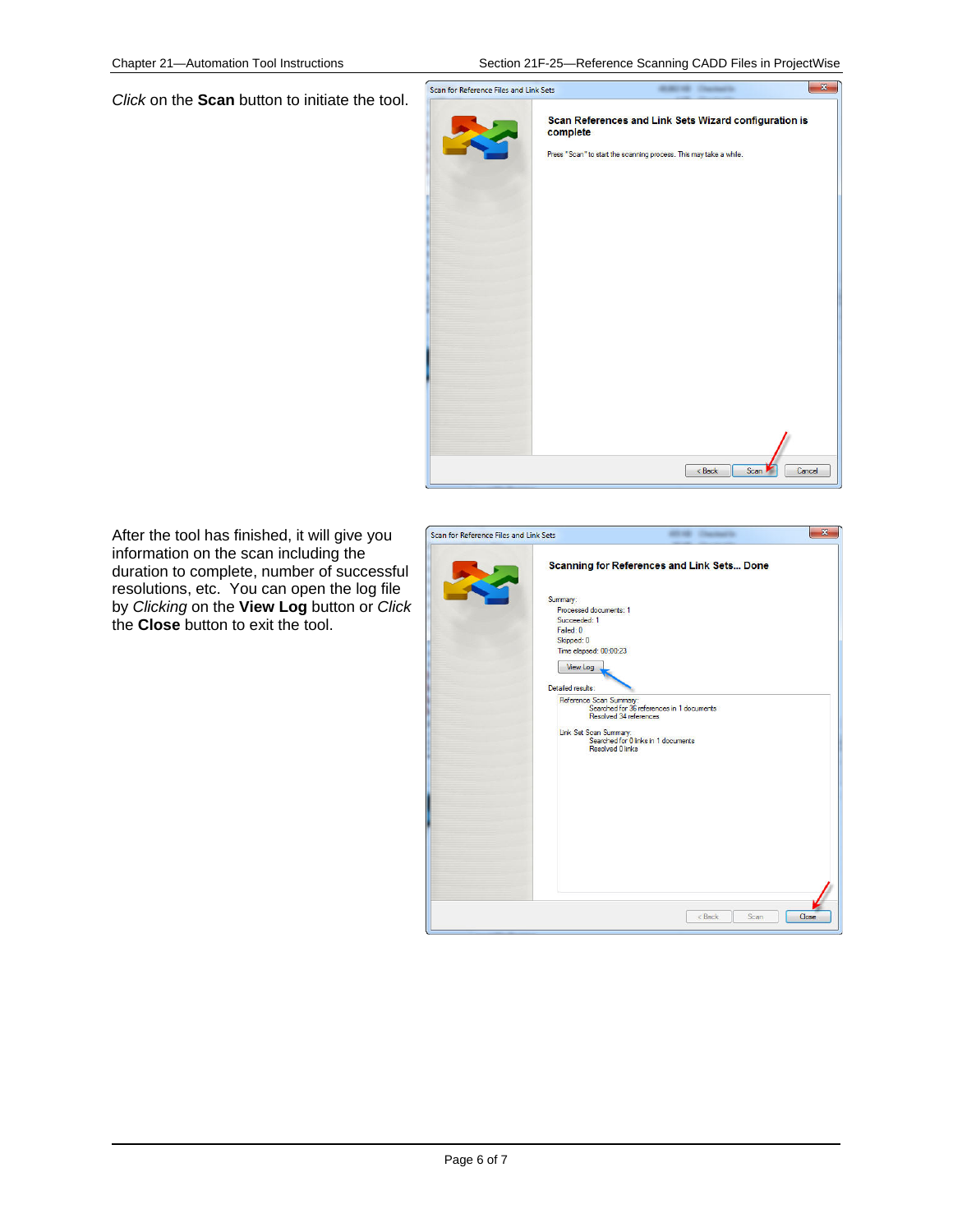Chapter 21—Automation Tool Instructions Section 21F-25—Reference Scanning CADD Files in ProjectWise

*Click* on the **Scan** button to initiate the tool.



After the tool has finished, it will give you information on the scan including the duration to complete, number of successful resolutions, etc. You can open the log file by *Clicking* on the **View Log** button or *Click* the **Close** button to exit the tool.

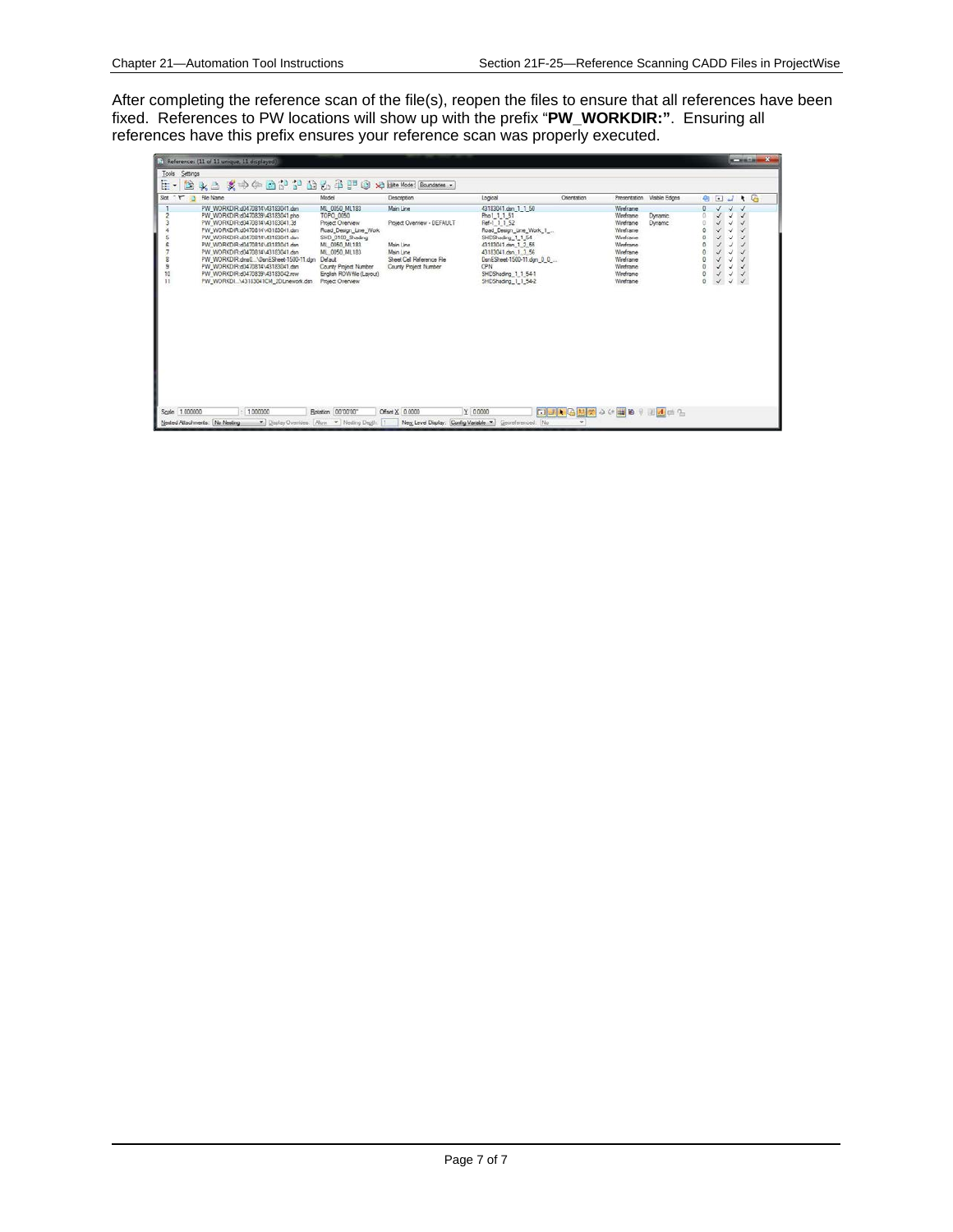After completing the reference scan of the file(s), reopen the files to ensure that all references have been fixed. References to PW locations will show up with the prefix "**PW\_WORKDIR:"**. Ensuring all references have this prefix ensures your reference scan was properly executed.

|                       |                | [5] References (11 of 11 unique, 11 displayed).                                                                                                                                                                                                                                                                                                                                                                |                                                                                                                                                                                                                    |                                                                                                                         |                                                                                                                                                                                                                                     |                 |                                                                                                                                   |                            |                                   |                                                                                   |                                                                   | <b>SCHOOL COMPANY</b>                                                 |  |
|-----------------------|----------------|----------------------------------------------------------------------------------------------------------------------------------------------------------------------------------------------------------------------------------------------------------------------------------------------------------------------------------------------------------------------------------------------------------------|--------------------------------------------------------------------------------------------------------------------------------------------------------------------------------------------------------------------|-------------------------------------------------------------------------------------------------------------------------|-------------------------------------------------------------------------------------------------------------------------------------------------------------------------------------------------------------------------------------|-----------------|-----------------------------------------------------------------------------------------------------------------------------------|----------------------------|-----------------------------------|-----------------------------------------------------------------------------------|-------------------------------------------------------------------|-----------------------------------------------------------------------|--|
| Tools<br>臣。           | Settings<br>餘  | 文中午面的第三位元年严白<br>$\mathbf{X}$                                                                                                                                                                                                                                                                                                                                                                                   |                                                                                                                                                                                                                    | XI Hite Mode: Boundaries                                                                                                |                                                                                                                                                                                                                                     |                 |                                                                                                                                   |                            |                                   |                                                                                   |                                                                   |                                                                       |  |
| $\sim$ $\sim$<br>Slot | -15            | File Name                                                                                                                                                                                                                                                                                                                                                                                                      | Model                                                                                                                                                                                                              | Description                                                                                                             | Logical                                                                                                                                                                                                                             | Onentation      |                                                                                                                                   | Presentation Visible Edges |                                   | 4 回                                                                               |                                                                   | $J + G$                                                               |  |
| s<br>10<br>11         |                | PW_WORKDIR.d0470814\43183041.den<br>PW_WORKDIR.d0470839\43183041.php<br>PW_WORKDIR:d0470814\43183041.3d<br>PW_WORKDIR.d0470814\43183041.den<br>PW_WORKDIR.d0470814\43183041.den<br>PW_WORKDIR:d0470814\43183041.dsn<br>PW_WORKDIR:d0470814\43183041.dsn<br>PW_WORKDIR.dms0\DsnESheet-1500-11.dgn<br>PW_WORKDIR:d0470814\43183041.dsn<br>PW_WORKDIR:d0470839\43183042.row<br>PW_WORKDI\43183041CM_2DLnework.dsn | ML 0050 ML183<br>TOPO_0050<br>Project Overview<br>Road Design Line Work<br>SHD 0100 Shading<br>ML 0050 ML183<br>ML 0050 ML183<br>Default<br>County Project Number<br>English ROW file (Lavout)<br>Project Overview | Main Line<br>Project Overview - DEFAULT<br>Main Line<br>Main Line<br>Sheet Cell Reference File<br>County Project Number | 43183041.den 1 1 50<br>Pho1_1_1_51<br>Ref-1 1 1 52<br>Road_Design_Line_Work_1_<br>SHDShading_1_1_54<br>43183041 dsn 1 2 55<br>43183041.dsn 1 3 56<br>DanESheet-1500-11.dgn 0 0<br>CPN<br>SHDShading 1 1 54-1<br>SHDShading 1 1 54-2 |                 | Wireframe<br>Weeframe<br>Wreframe<br>Wreframe<br>Westcane<br>Weeframe<br>Wreframe<br>Wreframe<br>Wreframe<br>Wreframe<br>Wreframe | Dynamic<br>Dynamic         | Ü<br>ó<br>o<br>$\alpha$<br>٥<br>ö | J.<br>$\checkmark$<br>¥.<br>s<br>↙<br>√<br>√<br>v<br>$\checkmark$<br>$\checkmark$ | $\sqrt{}$<br>√<br>√<br>√<br>J<br>√<br>√<br>V<br>¥<br>$\checkmark$ | √<br>$\checkmark$<br>√<br>s<br>$\checkmark$<br>∢<br>$\checkmark$<br>x |  |
|                       | Scale 1.000000 | 1,000000                                                                                                                                                                                                                                                                                                                                                                                                       | Rotation 00'00'00"                                                                                                                                                                                                 | Offset X 0.0000                                                                                                         | Y 0.0000                                                                                                                                                                                                                            | □→利因出策→←国的→国风中行 |                                                                                                                                   |                            |                                   |                                                                                   |                                                                   |                                                                       |  |